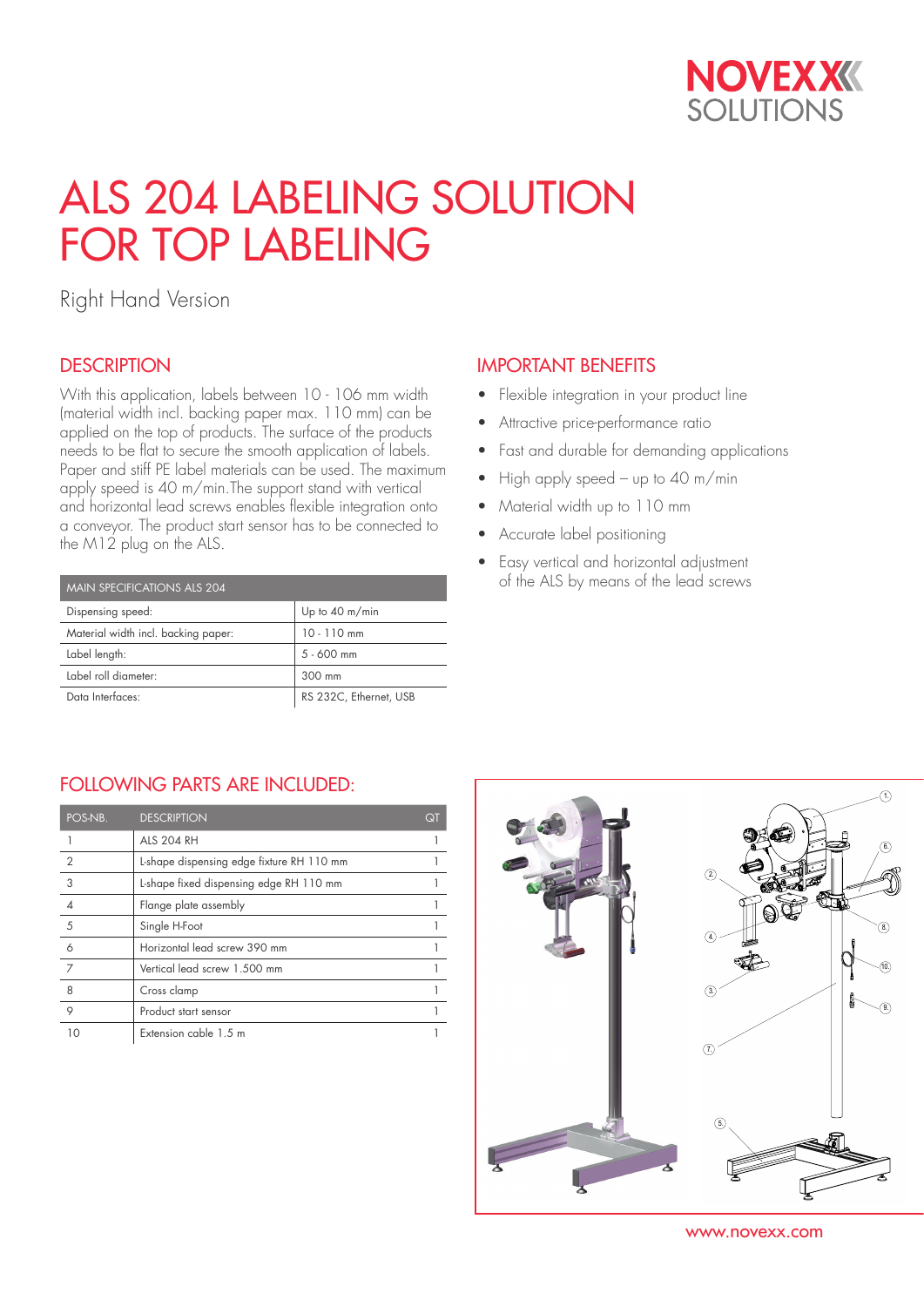

# ALS 204 LABELING SOLUTION FOR TOP LABELING

Right Hand Version

## **DESCRIPTION**

With this application, labels between 10 - 106 mm width (material width incl. backing paper max. 110 mm) can be applied on the top of products. The surface of the products needs to be flat to secure the smooth application of labels. Paper and stiff PE label materials can be used. The maximum apply speed is 40 m/min.The support stand with vertical and horizontal lead screws enables flexible integration onto a conveyor. The product start sensor has to be connected to the M12 plug on the ALS.

| <b>MAIN SPECIFICATIONS ALS 204</b>  |                          |  |  |  |  |
|-------------------------------------|--------------------------|--|--|--|--|
| Dispensing speed:                   | Up to $40 \text{ m/min}$ |  |  |  |  |
| Material width incl. backing paper: | $10 - 110$ mm            |  |  |  |  |
| Label length:                       | $5 - 600$ mm             |  |  |  |  |
| Label roll diameter:                | 300 mm                   |  |  |  |  |
| Data Interfaces:                    | RS 232C, Ethernet, USB   |  |  |  |  |

## IMPORTANT BENEFITS

- Flexible integration in your product line
- Attractive price-performance ratio
- Fast and durable for demanding applications
- High apply speed up to 40 m/min
- Material width up to 110 mm
- Accurate label positioning
- Easy vertical and horizontal adjustment of the ALS by means of the lead screws

### FOLLOWING PARTS ARE INCLUDED:

| POS-NB.        | <b>DESCRIPTION</b>                        | Qī |
|----------------|-------------------------------------------|----|
|                | <b>ALS 204 RH</b>                         |    |
| $\overline{2}$ | L-shape dispensing edge fixture RH 110 mm |    |
| 3              | L-shape fixed dispensing edge RH 110 mm   |    |
|                | Flange plate assembly                     |    |
| 5              | Single H-Foot                             |    |
| 6              | Horizontal lead screw 390 mm              |    |
| 7              | Vertical lead screw 1.500 mm              |    |
| 8              | Cross clamp                               |    |
| 9              | Product start sensor                      |    |
|                | Extension cable 1.5 m                     |    |



www.novexx.com